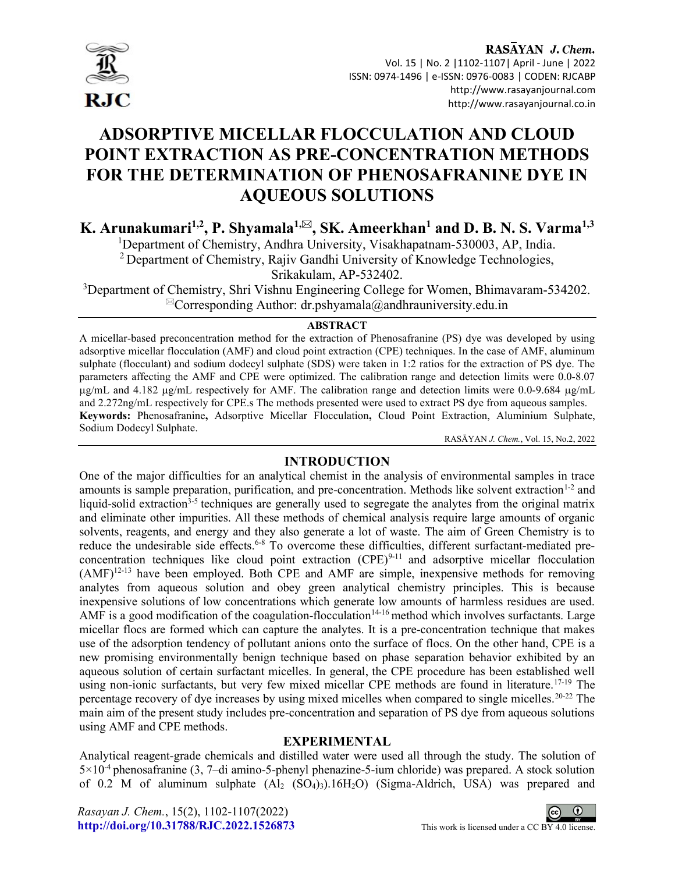

### RASAYAN J. Chem. Vol. 15 | No. 2 |1102-1107| April - June | 2022 ISSN: 0974-1496 | e-ISSN: 0976-0083 | CODEN: RJCABP http://www.rasayanjournal.com http://www.rasayanjournal.co.in

# ADSORPTIVE MICELLAR FLOCCULATION AND CLOUD POINT EXTRACTION AS PRE-CONCENTRATION METHODS FOR THE DETERMINATION OF PHENOSAFRANINE DYE IN AQUEOUS SOLUTIONS

K. Arunakumari<sup>1,2</sup>, P. Shyamala<sup>1,⊠</sup>, SK. Ameerkhan<sup>1</sup> and D. B. N. S. Varma<sup>1,3</sup>

<sup>1</sup>Department of Chemistry, Andhra University, Visakhapatnam-530003, AP, India.

<sup>2</sup> Department of Chemistry, Rajiv Gandhi University of Knowledge Technologies,

Srikakulam, AP-532402.

<sup>3</sup>Department of Chemistry, Shri Vishnu Engineering College for Women, Bhimavaram-534202.  $\alpha$ Corresponding Author: dr.pshyamala@andhrauniversity.edu.in

#### ABSTRACT

A micellar-based preconcentration method for the extraction of Phenosafranine (PS) dye was developed by using adsorptive micellar flocculation (AMF) and cloud point extraction (CPE) techniques. In the case of AMF, aluminum sulphate (flocculant) and sodium dodecyl sulphate (SDS) were taken in 1:2 ratios for the extraction of PS dye. The parameters affecting the AMF and CPE were optimized. The calibration range and detection limits were 0.0-8.07 ug/mL and 4.182 ug/mL respectively for AMF. The calibration range and detection limits were 0.0-9.684 ug/mL and 2.272ng/mL respectively for CPE.s The methods presented were used to extract PS dye from aqueous samples. Keywords: Phenosafranine, Adsorptive Micellar Flocculation, Cloud Point Extraction, Aluminium Sulphate, Sodium Dodecyl Sulphate.

RASĀYAN J. Chem., Vol. 15, No.2, 2022

# INTRODUCTION

One of the major difficulties for an analytical chemist in the analysis of environmental samples in trace amounts is sample preparation, purification, and pre-concentration. Methods like solvent extraction<sup>1-2</sup> and liquid-solid extraction<sup>3-5</sup> techniques are generally used to segregate the analytes from the original matrix and eliminate other impurities. All these methods of chemical analysis require large amounts of organic solvents, reagents, and energy and they also generate a lot of waste. The aim of Green Chemistry is to reduce the undesirable side effects.<sup>6-8</sup> To overcome these difficulties, different surfactant-mediated preconcentration techniques like cloud point extraction  $(CPE)^{9-11}$  and adsorptive micellar flocculation (AMF)12-13 have been employed. Both CPE and AMF are simple, inexpensive methods for removing analytes from aqueous solution and obey green analytical chemistry principles. This is because inexpensive solutions of low concentrations which generate low amounts of harmless residues are used. AMF is a good modification of the coagulation-flocculation<sup>14-16</sup> method which involves surfactants. Large micellar flocs are formed which can capture the analytes. It is a pre-concentration technique that makes use of the adsorption tendency of pollutant anions onto the surface of flocs. On the other hand, CPE is a new promising environmentally benign technique based on phase separation behavior exhibited by an aqueous solution of certain surfactant micelles. In general, the CPE procedure has been established well using non-ionic surfactants, but very few mixed micellar CPE methods are found in literature.<sup>17-19</sup> The percentage recovery of dye increases by using mixed micelles when compared to single micelles.20-22 The main aim of the present study includes pre-concentration and separation of PS dye from aqueous solutions using AMF and CPE methods.

## EXPERIMENTAL

Analytical reagent-grade chemicals and distilled water were used all through the study. The solution of 5×10-4 phenosafranine (3, 7–di amino-5-phenyl phenazine-5-ium chloride) was prepared. A stock solution of 0.2 M of aluminum sulphate  $(A_2 \text{ (SO}_4)_{3})$ .16H<sub>2</sub>O) (Sigma-Aldrich, USA) was prepared and

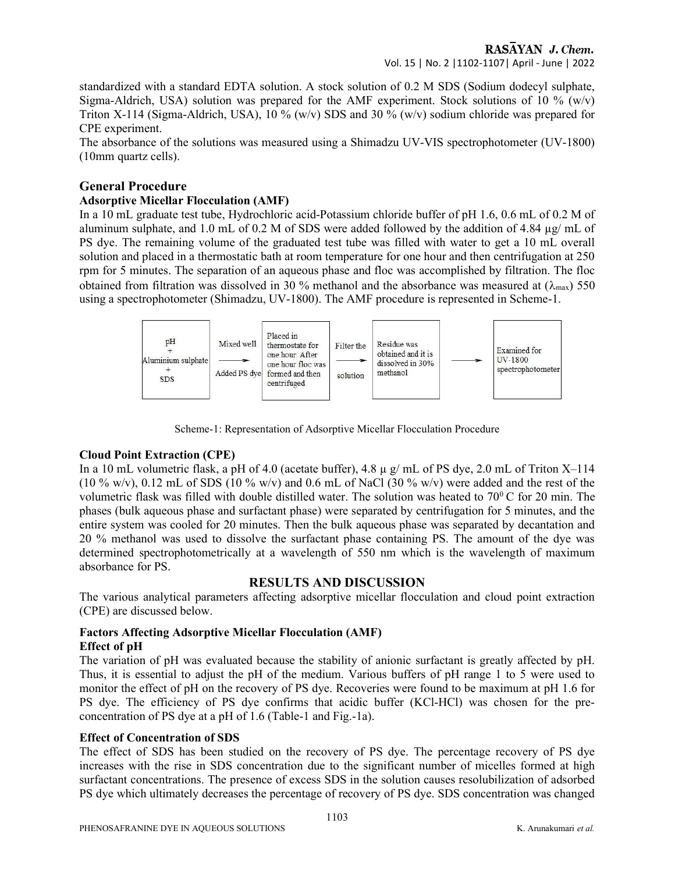standardized with a standard EDTA solution. A stock solution of 0.2 M SDS (Sodium dodecyl sulphate, Sigma-Aldrich, USA) solution was prepared for the AMF experiment. Stock solutions of 10 % (w/v) Triton X-114 (Sigma-Aldrich, USA), 10 % (w/v) SDS and 30 % (w/v) sodium chloride was prepared for CPE experiment.

The absorbance of the solutions was measured using a Shimadzu UV-VIS spectrophotometer (UV-1800) (10mm quartz cells).

#### General Procedure

#### Adsorptive Micellar Flocculation (AMF)

In a 10 mL graduate test tube, Hydrochloric acid-Potassium chloride buffer of pH 1.6, 0.6 mL of 0.2 M of aluminum sulphate, and 1.0 mL of 0.2 M of SDS were added followed by the addition of 4.84 µg/ mL of PS dye. The remaining volume of the graduated test tube was filled with water to get a 10 mL overall solution and placed in a thermostatic bath at room temperature for one hour and then centrifugation at 250 rpm for 5 minutes. The separation of an aqueous phase and floc was accomplished by filtration. The floc obtained from filtration was dissolved in 30 % methanol and the absorbance was measured at  $(\lambda_{\text{max}})$  550 using a spectrophotometer (Shimadzu, UV-1800). The AMF procedure is represented in Scheme-1.



Scheme-1: Representation of Adsorptive Micellar Flocculation Procedure

#### Cloud Point Extraction (CPE)

In a 10 mL volumetric flask, a pH of 4.0 (acetate buffer), 4.8 µ g/ mL of PS dye, 2.0 mL of Triton X–114  $(10\% \text{ w/v})$ , 0.12 mL of SDS  $(10\% \text{ w/v})$  and 0.6 mL of NaCl  $(30\% \text{ w/v})$  were added and the rest of the volumetric flask was filled with double distilled water. The solution was heated to  $70^0$ C for 20 min. The phases (bulk aqueous phase and surfactant phase) were separated by centrifugation for 5 minutes, and the entire system was cooled for 20 minutes. Then the bulk aqueous phase was separated by decantation and 20 % methanol was used to dissolve the surfactant phase containing PS. The amount of the dye was determined spectrophotometrically at a wavelength of 550 nm which is the wavelength of maximum absorbance for PS.

#### RESULTS AND DISCUSSION

The various analytical parameters affecting adsorptive micellar flocculation and cloud point extraction (CPE) are discussed below.

#### Factors Affecting Adsorptive Micellar Flocculation (AMF) Effect of pH

The variation of pH was evaluated because the stability of anionic surfactant is greatly affected by pH. Thus, it is essential to adjust the pH of the medium. Various buffers of pH range 1 to 5 were used to monitor the effect of pH on the recovery of PS dye. Recoveries were found to be maximum at pH 1.6 for PS dye. The efficiency of PS dye confirms that acidic buffer (KCl-HCl) was chosen for the preconcentration of PS dye at a pH of 1.6 (Table-1 and Fig.-1a).

#### Effect of Concentration of SDS

The effect of SDS has been studied on the recovery of PS dye. The percentage recovery of PS dye increases with the rise in SDS concentration due to the significant number of micelles formed at high surfactant concentrations. The presence of excess SDS in the solution causes resolubilization of adsorbed PS dye which ultimately decreases the percentage of recovery of PS dye. SDS concentration was changed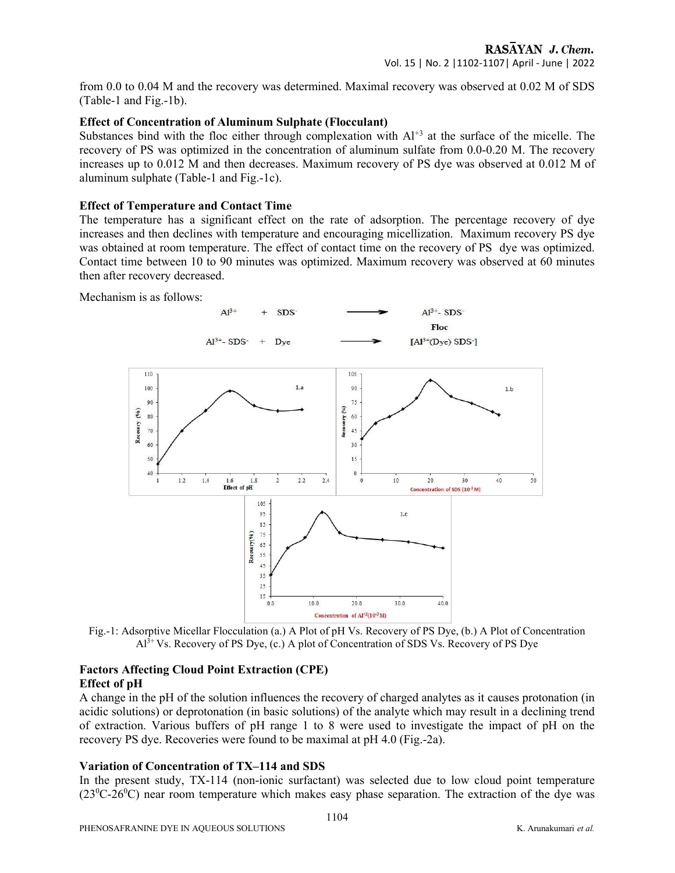from 0.0 to 0.04 M and the recovery was determined. Maximal recovery was observed at 0.02 M of SDS (Table-1 and Fig.-1b).

#### Effect of Concentration of Aluminum Sulphate (Flocculant)

Substances bind with the floc either through complexation with  $Al<sup>+3</sup>$  at the surface of the micelle. The recovery of PS was optimized in the concentration of aluminum sulfate from 0.0-0.20 M. The recovery increases up to 0.012 M and then decreases. Maximum recovery of PS dye was observed at 0.012 M of aluminum sulphate (Table-1 and Fig.-1c).

#### Effect of Temperature and Contact Time

The temperature has a significant effect on the rate of adsorption. The percentage recovery of dye increases and then declines with temperature and encouraging micellization. Maximum recovery PS dye was obtained at room temperature. The effect of contact time on the recovery of PS dye was optimized. Contact time between 10 to 90 minutes was optimized. Maximum recovery was observed at 60 minutes then after recovery decreased.

Mechanism is as follows:



Fig.-1: Adsorptive Micellar Flocculation (a.) A Plot of pH Vs. Recovery of PS Dye, (b.) A Plot of Concentration  $A<sup>3+</sup>Vs$ . Recovery of PS Dye, (c.) A plot of Concentration of SDS Vs. Recovery of PS Dye

#### Factors Affecting Cloud Point Extraction (CPE) Effect of pH

A change in the pH of the solution influences the recovery of charged analytes as it causes protonation (in acidic solutions) or deprotonation (in basic solutions) of the analyte which may result in a declining trend of extraction. Various buffers of pH range 1 to 8 were used to investigate the impact of pH on the recovery PS dye. Recoveries were found to be maximal at pH 4.0 (Fig.-2a).

#### Variation of Concentration of TX–114 and SDS

In the present study, TX-114 (non-ionic surfactant) was selected due to low cloud point temperature  $(23^{0}C-26^{0}C)$  near room temperature which makes easy phase separation. The extraction of the dye was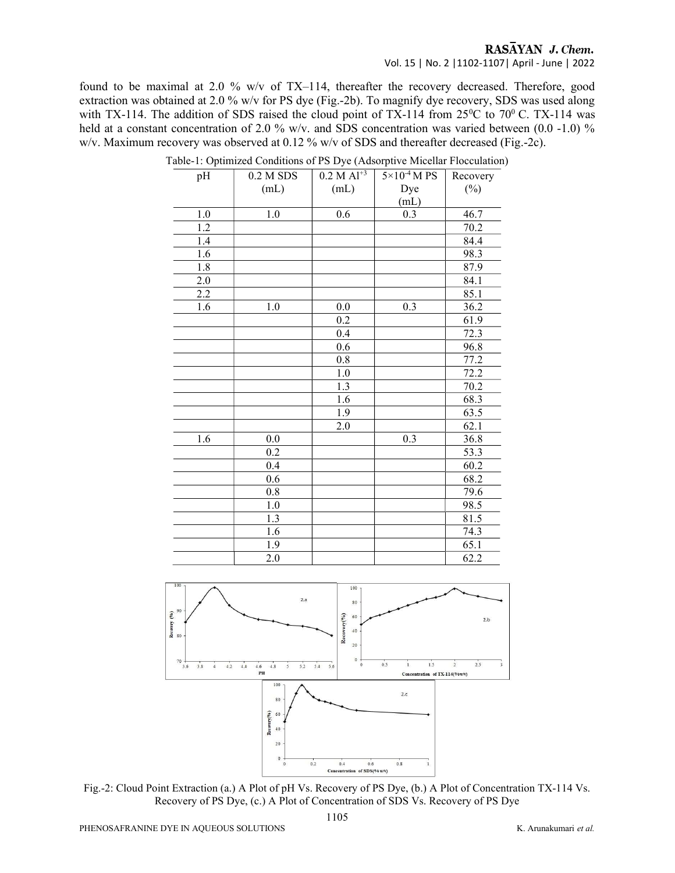## RASAYAN J. Chem.

Vol. 15 | No. 2 |1102-1107| April - June | 2022

found to be maximal at 2.0 % w/v of TX–114, thereafter the recovery decreased. Therefore, good extraction was obtained at 2.0 % w/v for PS dye (Fig.-2b). To magnify dye recovery, SDS was used along with TX-114. The addition of SDS raised the cloud point of TX-114 from  $25^{\circ}$ C to  $70^{\circ}$  C. TX-114 was held at a constant concentration of 2.0 % w/v. and SDS concentration was varied between (0.0 -1.0) % w/v. Maximum recovery was observed at 0.12 % w/v of SDS and thereafter decreased (Fig.-2c).

| pH      | $0.2 M$ SDS | $0.2 M Al^{+3}$ | $5\times10^{-4}$ M PS | Recovery |
|---------|-------------|-----------------|-----------------------|----------|
|         | (mL)        | (mL)            | Dye                   | $(\%)$   |
|         |             |                 | (mL)                  |          |
| 1.0     | 1.0         | 0.6             | 0.3                   | 46.7     |
| 1.2     |             |                 |                       | 70.2     |
| 1.4     |             |                 |                       | 84.4     |
| 1.6     |             |                 |                       | 98.3     |
| 1.8     |             |                 |                       | 87.9     |
| $2.0\,$ |             |                 |                       | 84.1     |
| 2.2     |             |                 |                       | 85.1     |
| 1.6     | 1.0         | $0.0\,$         | 0.3                   | 36.2     |
|         |             | 0.2             |                       | 61.9     |
|         |             | 0.4             |                       | 72.3     |
|         |             | 0.6             |                       | 96.8     |
|         |             | $0.8\,$         |                       | 77.2     |
|         |             | 1.0             |                       | 72.2     |
|         |             | 1.3             |                       | 70.2     |
|         |             | 1.6             |                       | 68.3     |
|         |             | 1.9             |                       | 63.5     |
|         |             | 2.0             |                       | 62.1     |
| 1.6     | $0.0\,$     |                 | 0.3                   | 36.8     |
|         | 0.2         |                 |                       | 53.3     |
|         | 0.4         |                 |                       | 60.2     |
|         | 0.6         |                 |                       | 68.2     |
|         | 0.8         |                 |                       | 79.6     |
|         | $1.0\,$     |                 |                       | 98.5     |
|         | 1.3         |                 |                       | 81.5     |
|         | 1.6         |                 |                       | 74.3     |
|         | 1.9         |                 |                       | 65.1     |
|         | $2.0\,$     |                 |                       | 62.2     |

Table-1: Optimized Conditions of PS Dye (Adsorptive Micellar Flocculation)



Fig.-2: Cloud Point Extraction (a.) A Plot of pH Vs. Recovery of PS Dye, (b.) A Plot of Concentration TX-114 Vs. Recovery of PS Dye, (c.) A Plot of Concentration of SDS Vs. Recovery of PS Dye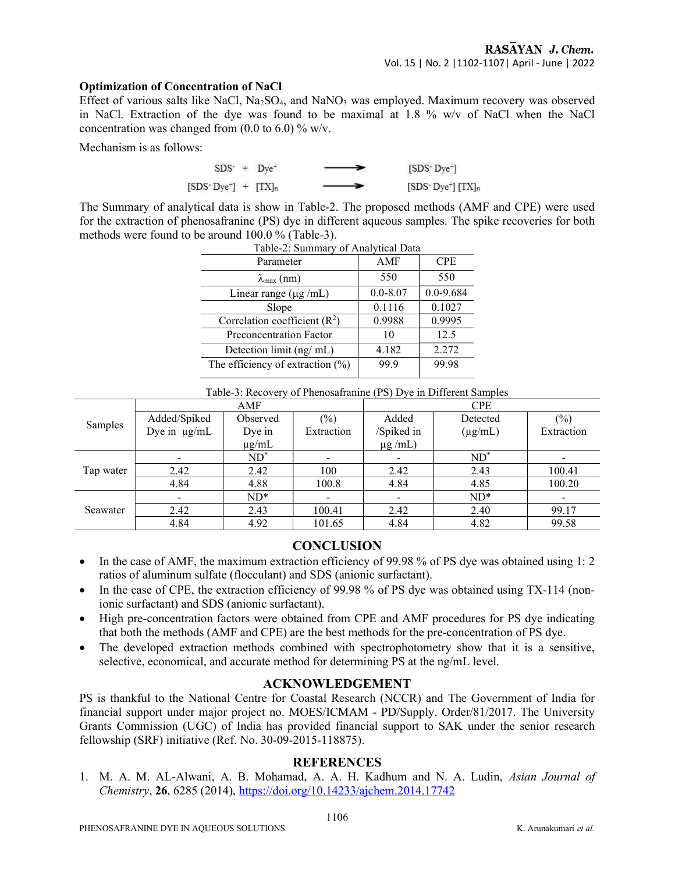#### Optimization of Concentration of NaCl

Effect of various salts like NaCl, Na2SO4, and NaNO3 was employed. Maximum recovery was observed in NaCl. Extraction of the dye was found to be maximal at 1.8 % w/v of NaCl when the NaCl concentration was changed from  $(0.0 \text{ to } 6.0)$  % w/v.

Mechanism is as follows:

$$
SDS+ + Dye+ \longrightarrow [SDS-Dye+]
$$
  
[SDS<sup>-</sup>Dye<sup>+</sup>] + [TX]<sub>n</sub> \longrightarrow [SDS<sup>-</sup>Dye<sup>+</sup>][TX]<sub>n</sub>

The Summary of analytical data is show in Table-2. The proposed methods (AMF and CPE) were used for the extraction of phenosafranine (PS) dye in different aqueous samples. The spike recoveries for both methods were found to be around 100.0 % (Table-3).

| Table-2: Summary of Analytical Data |              |               |  |  |  |  |
|-------------------------------------|--------------|---------------|--|--|--|--|
| Parameter                           | AMF          | <b>CPE</b>    |  |  |  |  |
| $\lambda_{\max}$ (nm)               | 550          | 550           |  |  |  |  |
| Linear range $(\mu g / mL)$         | $0.0 - 8.07$ | $0.0 - 9.684$ |  |  |  |  |
| Slope                               | 0.1116       | 0.1027        |  |  |  |  |
| Correlation coefficient $(R2)$      | 0.9988       | 0.9995        |  |  |  |  |
| Preconcentration Factor             | 10           | 12.5          |  |  |  |  |
| Detection limit (ng/ mL)            | 4.182        | 2.272         |  |  |  |  |
| The efficiency of extraction $(\%)$ | 99.9         | 99.98         |  |  |  |  |
|                                     |              |               |  |  |  |  |

Table-3: Recovery of Phenosafranine (PS) Dye in Different Samples

|           | AMF          |            |            | <b>CPE</b>   |              |            |
|-----------|--------------|------------|------------|--------------|--------------|------------|
| Samples   | Added/Spiked | Observed   | $(\%)$     | Added        | Detected     | $(\%)$     |
|           | Dye in µg/mL | Dye in     | Extraction | /Spiked in   | $(\mu g/mL)$ | Extraction |
|           |              | $\mu$ g/mL |            | $\mu$ g /mL) |              |            |
| Tap water |              | $ND^*$     |            |              | $ND^*$       |            |
|           | 2.42         | 2.42       | 100        | 2.42         | 2.43         | 100.41     |
|           | 4.84         | 4.88       | 100.8      | 4.84         | 4.85         | 100.20     |
| Seawater  |              | $ND^*$     |            |              | $ND^*$       |            |
|           | 2.42         | 2.43       | 100.41     | 2.42         | 2.40         | 99.17      |
|           | 4.84         | 4.92       | 101.65     | 4.84         | 4.82         | 99.58      |

## **CONCLUSION**

- In the case of AMF, the maximum extraction efficiency of 99.98 % of PS dye was obtained using 1: 2 ratios of aluminum sulfate (flocculant) and SDS (anionic surfactant).
- In the case of CPE, the extraction efficiency of 99.98 % of PS dye was obtained using TX-114 (nonionic surfactant) and SDS (anionic surfactant).
- High pre-concentration factors were obtained from CPE and AMF procedures for PS dye indicating that both the methods (AMF and CPE) are the best methods for the pre-concentration of PS dye.
- The developed extraction methods combined with spectrophotometry show that it is a sensitive, selective, economical, and accurate method for determining PS at the ng/mL level.

#### ACKNOWLEDGEMENT

PS is thankful to the National Centre for Coastal Research (NCCR) and The Government of India for financial support under major project no. MOES/ICMAM - PD/Supply. Order/81/2017. The University Grants Commission (UGC) of India has provided financial support to SAK under the senior research fellowship (SRF) initiative (Ref. No. 30-09-2015-118875).

#### **REFERENCES**

1. M. A. M. AL-Alwani, A. B. Mohamad, A. A. H. Kadhum and N. A. Ludin, Asian Journal of Chemistry, 26, 6285 (2014), https://doi.org/10.14233/ajchem.2014.17742